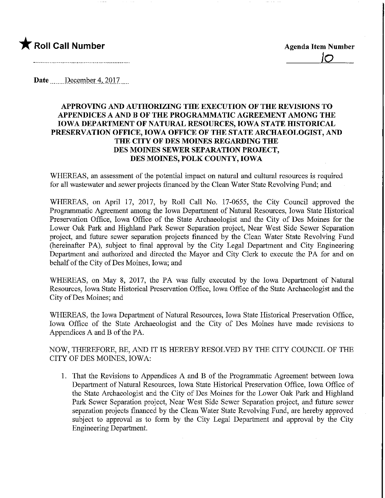

<u>|්</u>

Date December 4, 2017

## APPROVING AND AUTHORIZING THE EXECUTION OF THE REVISIONS TO APPENDICES A AND B OF THE PROGRAMMATIC AGREEMENT AMONG THE IOWA DEPARTMENT OF NATURAL RESOURCES, IOWA STATE HISTORICAL PRESERVATION OFFICE, IOWA OFFICE OF THE STATE ARCHAEOLOGIST, AND THE CITY OF DES MOINES REGARDING THE DES MOINES SEWER SEPARATION PROJECT, DES MOINES, POLK COUNTY, IOWA

WHEREAS, an assessment of the potential impact on natural and cultural resources is required for all wastewater and sewer projects financed by the Clean Water State Revolving Fund; and

WHEREAS, on April 17, 2017, by Roll Call No. 17-0655, the City Council approved the Programmatic Agreement among the Iowa Department of Natural Resources, Iowa State Historical Preservation Office, Iowa Office of the State Archaeologist and the City of Des Moines for the Lower Oak Park and Highland Park Sewer Separation project, Near West Side Sewer Separation project, and future sewer separation projects financed by the Clean Water State Revolving Fund (hereinafter PA), subject to final approval by the City Legal Department and City Engmeering Department and authorized and directed the Mayor and City Clerk to execute the PA for and on behalf of the City of Des Moines, Iowa; and

WHEREAS, on May 8, 2017, the PA was fully executed by the Iowa Department of Natural Resources, Iowa State Historical Preservation Office, Iowa Office of the State Archaeologist and the City of Des Moines; and

WHEREAS, the Iowa Department of Natural Resources, Iowa State Historical Preservation Office, Iowa Office of the State Archaeologist and the City of Des Moines have made revisions to Appendices A and B of the PA.

NOW, THEREFORE, BE, AND IT IS HEREBY RESOLVED BY THE CITY COUNCIL OF THE CITY OF DES MOINES, IOWA:

1. That the Revisions to Appendices A and B of the Programmatic Agreement between Iowa Department of Natural Resources, Iowa State Historical Preservation Office, Iowa Office of the State Archaeologist and the City of Des Moines for the Lower Oak Park and Highland Park Sewer Separation project. Near West Side Sewer Separation project, and future sewer separation projects financed by the Clean Water State Revolving Fund, are hereby approved subject to approval as to form by the City Legal Department and approval by the City Engineering Department.